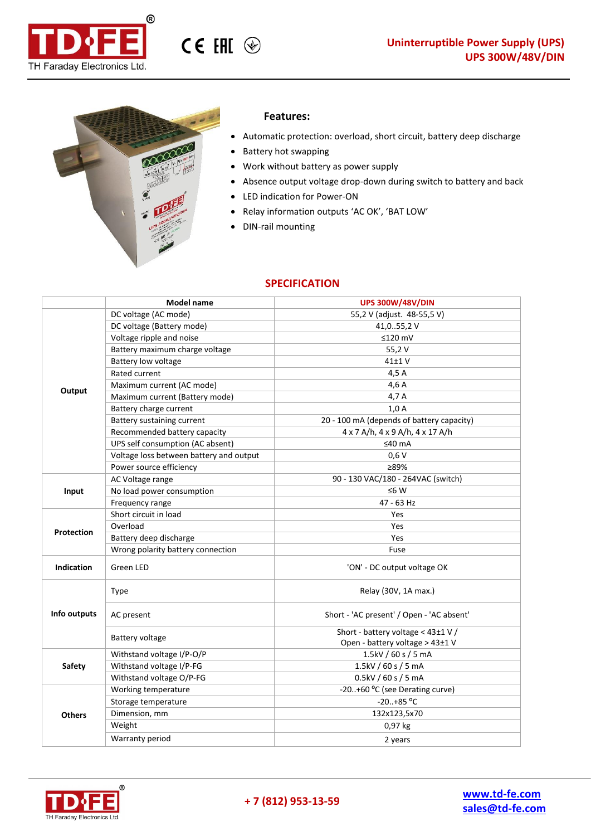



## **Features:**

CE EHI <sup></sup>

- Automatic protection: overload, short circuit, battery deep discharge
- Battery hot swapping
- Work without battery as power supply
- Absence output voltage drop-down during switch to battery and back
- LED indication for Power-ON
- Relay information outputs 'AC OK', 'BAT LOW'
- DIN-rail mounting

## **SPECIFICATION**

|                   | <b>Model name</b>                       | <b>UPS 300W/48V/DIN</b>                                               |
|-------------------|-----------------------------------------|-----------------------------------------------------------------------|
| Output            | DC voltage (AC mode)                    | 55,2 V (adjust. 48-55,5 V)                                            |
|                   | DC voltage (Battery mode)               | 41,055,2 V                                                            |
|                   | Voltage ripple and noise                | $≤120$ mV                                                             |
|                   | Battery maximum charge voltage          | 55,2V                                                                 |
|                   | Battery low voltage                     | 41±1 V                                                                |
|                   | Rated current                           | 4,5 A                                                                 |
|                   | Maximum current (AC mode)               | 4,6 A                                                                 |
|                   | Maximum current (Battery mode)          | 4,7 A                                                                 |
|                   | Battery charge current                  | 1,0A                                                                  |
|                   | Battery sustaining current              | 20 - 100 mA (depends of battery capacity)                             |
|                   | Recommended battery capacity            | 4 x 7 A/h, 4 x 9 A/h, 4 x 17 A/h                                      |
|                   | UPS self consumption (AC absent)        | ≤40 $mA$                                                              |
|                   | Voltage loss between battery and output | 0,6V                                                                  |
|                   | Power source efficiency                 | ≥89%                                                                  |
|                   | AC Voltage range                        | 90 - 130 VAC/180 - 264VAC (switch)                                    |
| Input             | No load power consumption               | $≤6 W$                                                                |
|                   | Frequency range                         | 47 - 63 Hz                                                            |
|                   | Short circuit in load                   | Yes                                                                   |
| <b>Protection</b> | Overload                                | Yes                                                                   |
|                   | Battery deep discharge                  | Yes                                                                   |
|                   | Wrong polarity battery connection       | Fuse                                                                  |
| <b>Indication</b> | Green LED                               | 'ON' - DC output voltage OK                                           |
| Info outputs      | <b>Type</b>                             | Relay (30V, 1A max.)                                                  |
|                   | AC present                              | Short - 'AC present' / Open - 'AC absent'                             |
|                   | Battery voltage                         | Short - battery voltage < 43±1 V /<br>Open - battery voltage > 43±1 V |
| <b>Safety</b>     | Withstand voltage I/P-O/P               | 1.5kV / 60 s / 5 mA                                                   |
|                   | Withstand voltage I/P-FG                | 1.5kV / 60 s / 5 mA                                                   |
|                   | Withstand voltage O/P-FG                | 0.5kV / 60 s / 5 mA                                                   |
| <b>Others</b>     | Working temperature                     | -20+60 °C (see Derating curve)                                        |
|                   | Storage temperature                     | $-20+85 °C$                                                           |
|                   | Dimension, mm                           | 132x123,5x70                                                          |
|                   | Weight                                  | 0,97 kg                                                               |
|                   | Warranty period                         | 2 years                                                               |

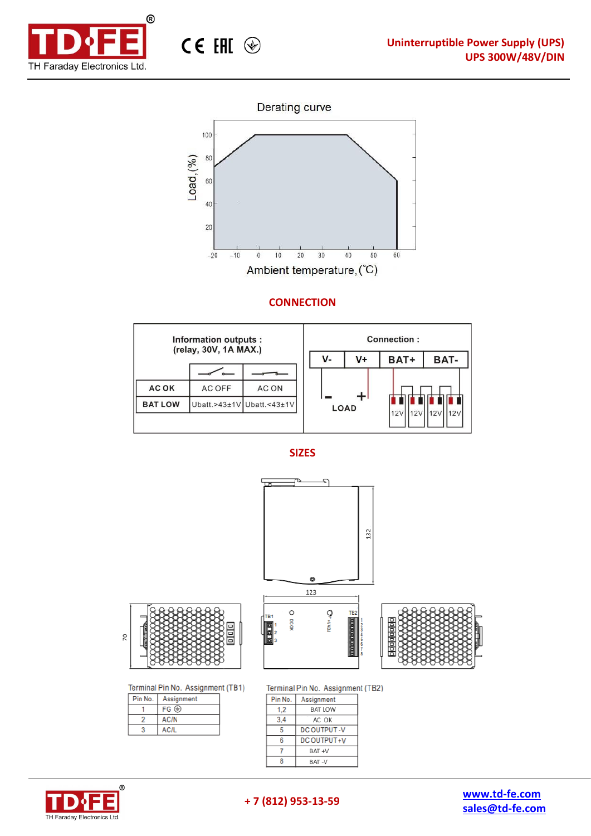





## **CONNECTION**









Terminal Pin No. Assignment (TB1)

| Pin No. | Assignment  |
|---------|-------------|
|         | $FG \oplus$ |
|         | AC/N        |
|         | AC/L        |

Terminal Pin No. Assignment (TB2)

| Pin No. | Assignment         |
|---------|--------------------|
| 1.2     | BAT LOW            |
| 3.4     | AC OK              |
|         | <b>DC OUTPUT-V</b> |
| հ       | DC OUTPUT+V        |
|         | BAT+V              |
|         | BAT -V             |





**[sales@td-fe.com](mailto:spb@faraday-el.ru)**